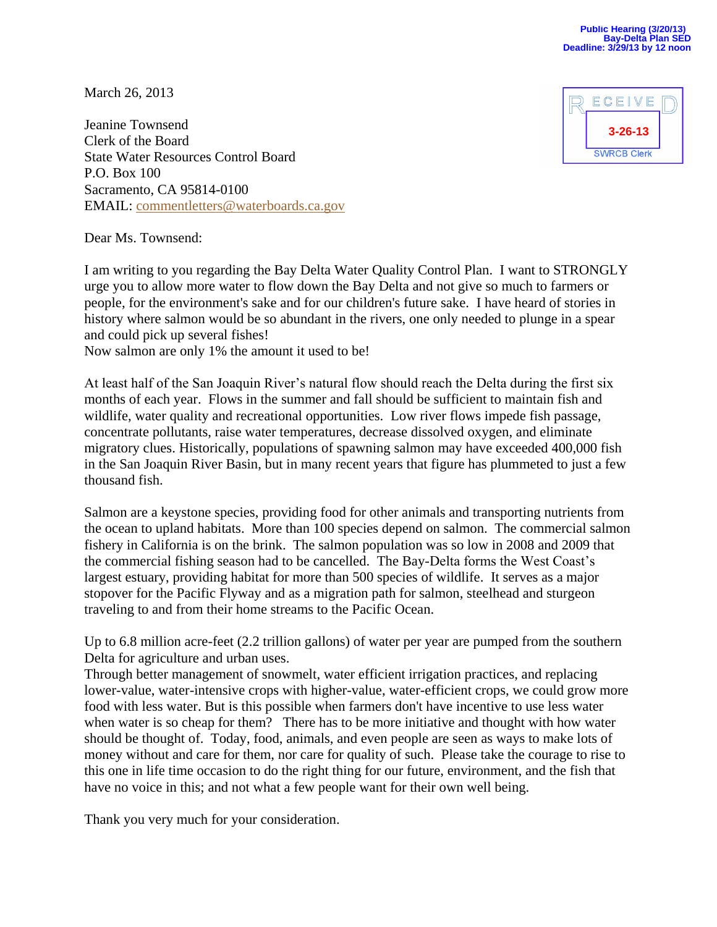March 26, 2013

Jeanine Townsend Clerk of the Board State Water Resources Control Board P.O. Box 100 Sacramento, CA 95814-0100 EMAIL: [commentletters@waterboards.ca.gov](mailto:commentletters@waterboards.ca.gov)



Dear Ms. Townsend:

I am writing to you regarding the Bay Delta Water Quality Control Plan. I want to STRONGLY urge you to allow more water to flow down the Bay Delta and not give so much to farmers or people, for the environment's sake and for our children's future sake. I have heard of stories in history where salmon would be so abundant in the rivers, one only needed to plunge in a spear and could pick up several fishes!

Now salmon are only 1% the amount it used to be!

At least half of the San Joaquin River's natural flow should reach the Delta during the first six months of each year. Flows in the summer and fall should be sufficient to maintain fish and wildlife, water quality and recreational opportunities. Low river flows impede fish passage, concentrate pollutants, raise water temperatures, decrease dissolved oxygen, and eliminate migratory clues. Historically, populations of spawning salmon may have exceeded 400,000 fish in the San Joaquin River Basin, but in many recent years that figure has plummeted to just a few thousand fish.

Salmon are a keystone species, providing food for other animals and transporting nutrients from the ocean to upland habitats. More than 100 species depend on salmon. The commercial salmon fishery in California is on the brink. The salmon population was so low in 2008 and 2009 that the commercial fishing season had to be cancelled. The Bay-Delta forms the West Coast's largest estuary, providing habitat for more than 500 species of wildlife. It serves as a major stopover for the Pacific Flyway and as a migration path for salmon, steelhead and sturgeon traveling to and from their home streams to the Pacific Ocean.

Up to 6.8 million acre-feet (2.2 trillion gallons) of water per year are pumped from the southern Delta for agriculture and urban uses.

Through better management of snowmelt, water efficient irrigation practices, and replacing lower-value, water-intensive crops with higher-value, water-efficient crops, we could grow more food with less water. But is this possible when farmers don't have incentive to use less water when water is so cheap for them? There has to be more initiative and thought with how water should be thought of. Today, food, animals, and even people are seen as ways to make lots of money without and care for them, nor care for quality of such. Please take the courage to rise to this one in life time occasion to do the right thing for our future, environment, and the fish that have no voice in this; and not what a few people want for their own well being.

Thank you very much for your consideration.